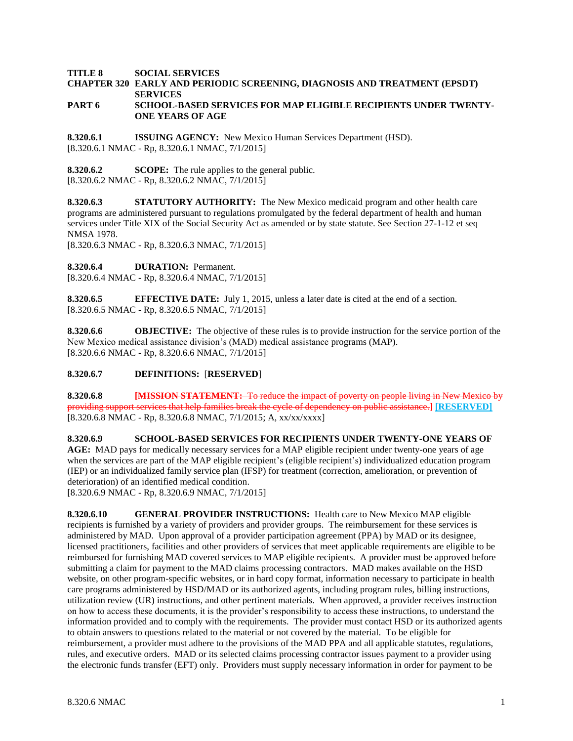**TITLE 8 SOCIAL SERVICES**

# **CHAPTER 320 EARLY AND PERIODIC SCREENING, DIAGNOSIS AND TREATMENT (EPSDT) SERVICES**

### **PART 6 SCHOOL-BASED SERVICES FOR MAP ELIGIBLE RECIPIENTS UNDER TWENTY-ONE YEARS OF AGE**

**8.320.6.1 ISSUING AGENCY:** New Mexico Human Services Department (HSD). [8.320.6.1 NMAC - Rp, 8.320.6.1 NMAC, 7/1/2015]

**8.320.6.2 SCOPE:** The rule applies to the general public. [8.320.6.2 NMAC - Rp, 8.320.6.2 NMAC, 7/1/2015]

**8.320.6.3 STATUTORY AUTHORITY:** The New Mexico medicaid program and other health care programs are administered pursuant to regulations promulgated by the federal department of health and human services under Title XIX of the Social Security Act as amended or by state statute. See Section 27-1-12 et seq NMSA 1978.

[8.320.6.3 NMAC - Rp, 8.320.6.3 NMAC, 7/1/2015]

**8.320.6.4 DURATION:** Permanent.

[8.320.6.4 NMAC - Rp, 8.320.6.4 NMAC, 7/1/2015]

**8.320.6.5 EFFECTIVE DATE:** July 1, 2015, unless a later date is cited at the end of a section. [8.320.6.5 NMAC - Rp, 8.320.6.5 NMAC, 7/1/2015]

**8.320.6.6 OBJECTIVE:** The objective of these rules is to provide instruction for the service portion of the New Mexico medical assistance division's (MAD) medical assistance programs (MAP). [8.320.6.6 NMAC - Rp, 8.320.6.6 NMAC, 7/1/2015]

### **8.320.6.7 DEFINITIONS:** [**RESERVED**]

**8.320.6.8 [MISSION STATEMENT:** To reduce the impact of poverty on people living in New Mexico by providing support services that help families break the cycle of dependency on public assistance.] **[RESERVED]** [8.320.6.8 NMAC - Rp, 8.320.6.8 NMAC, 7/1/2015; A, xx/xx/xxxx]

**8.320.6.9 SCHOOL-BASED SERVICES FOR RECIPIENTS UNDER TWENTY-ONE YEARS OF AGE:** MAD pays for medically necessary services for a MAP eligible recipient under twenty-one years of age when the services are part of the MAP eligible recipient's (eligible recipient's) individualized education program (IEP) or an individualized family service plan (IFSP) for treatment (correction, amelioration, or prevention of deterioration) of an identified medical condition.

[8.320.6.9 NMAC - Rp, 8.320.6.9 NMAC, 7/1/2015]

**8.320.6.10 GENERAL PROVIDER INSTRUCTIONS:** Health care to New Mexico MAP eligible recipients is furnished by a variety of providers and provider groups. The reimbursement for these services is administered by MAD. Upon approval of a provider participation agreement (PPA) by MAD or its designee, licensed practitioners, facilities and other providers of services that meet applicable requirements are eligible to be reimbursed for furnishing MAD covered services to MAP eligible recipients. A provider must be approved before submitting a claim for payment to the MAD claims processing contractors. MAD makes available on the HSD website, on other program-specific websites, or in hard copy format, information necessary to participate in health care programs administered by HSD/MAD or its authorized agents, including program rules, billing instructions, utilization review (UR) instructions, and other pertinent materials. When approved, a provider receives instruction on how to access these documents, it is the provider's responsibility to access these instructions, to understand the information provided and to comply with the requirements. The provider must contact HSD or its authorized agents to obtain answers to questions related to the material or not covered by the material. To be eligible for reimbursement, a provider must adhere to the provisions of the MAD PPA and all applicable statutes, regulations, rules, and executive orders. MAD or its selected claims processing contractor issues payment to a provider using the electronic funds transfer (EFT) only. Providers must supply necessary information in order for payment to be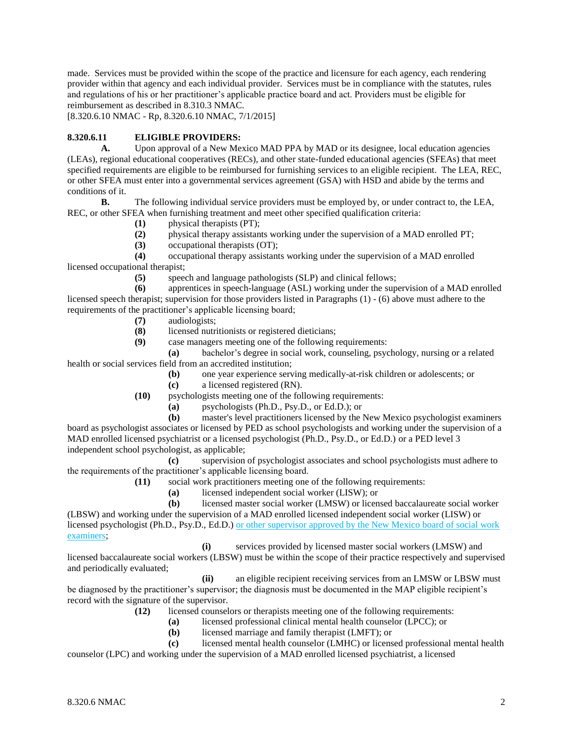made. Services must be provided within the scope of the practice and licensure for each agency, each rendering provider within that agency and each individual provider. Services must be in compliance with the statutes, rules and regulations of his or her practitioner's applicable practice board and act. Providers must be eligible for reimbursement as described in 8.310.3 NMAC.

[8.320.6.10 NMAC - Rp, 8.320.6.10 NMAC, 7/1/2015]

### **8.320.6.11 ELIGIBLE PROVIDERS:**

**A.** Upon approval of a New Mexico MAD PPA by MAD or its designee, local education agencies (LEAs), regional educational cooperatives (RECs), and other state-funded educational agencies (SFEAs) that meet specified requirements are eligible to be reimbursed for furnishing services to an eligible recipient. The LEA, REC, or other SFEA must enter into a governmental services agreement (GSA) with HSD and abide by the terms and conditions of it.

**B.** The following individual service providers must be employed by, or under contract to, the LEA, REC, or other SFEA when furnishing treatment and meet other specified qualification criteria:

- **(1)** physical therapists (PT);
- **(2)** physical therapy assistants working under the supervision of a MAD enrolled PT;
- **(3)** occupational therapists (OT);

**(4)** occupational therapy assistants working under the supervision of a MAD enrolled licensed occupational therapist;

**(5)** speech and language pathologists (SLP) and clinical fellows;

**(6)** apprentices in speech-language (ASL) working under the supervision of a MAD enrolled licensed speech therapist; supervision for those providers listed in Paragraphs (1) - (6) above must adhere to the requirements of the practitioner's applicable licensing board;

- **(7)** audiologists;
- **(8)** licensed nutritionists or registered dieticians;
- **(9)** case managers meeting one of the following requirements:

**(a)** bachelor's degree in social work, counseling, psychology, nursing or a related health or social services field from an accredited institution;

- **(b)** one year experience serving medically-at-risk children or adolescents; or
- **(c)** a licensed registered (RN).
- **(10)** psychologists meeting one of the following requirements:
	- **(a)** psychologists (Ph.D., Psy.D., or Ed.D.); or

**(b)** master's level practitioners licensed by the New Mexico psychologist examiners board as psychologist associates or licensed by PED as school psychologists and working under the supervision of a MAD enrolled licensed psychiatrist or a licensed psychologist (Ph.D., Psy.D., or Ed.D.) or a PED level 3 independent school psychologist, as applicable;

**(c)** supervision of psychologist associates and school psychologists must adhere to the requirements of the practitioner's applicable licensing board.

- **(11)** social work practitioners meeting one of the following requirements:
	- **(a)** licensed independent social worker (LISW); or

**(b)** licensed master social worker (LMSW) or licensed baccalaureate social worker (LBSW) and working under the supervision of a MAD enrolled licensed independent social worker (LISW) or licensed psychologist (Ph.D., Psy.D., Ed.D.) or other supervisor approved by the New Mexico board of social work

examiners;

**(i)** services provided by licensed master social workers (LMSW) and licensed baccalaureate social workers (LBSW) must be within the scope of their practice respectively and supervised and periodically evaluated;

**(ii)** an eligible recipient receiving services from an LMSW or LBSW must be diagnosed by the practitioner's supervisor; the diagnosis must be documented in the MAP eligible recipient's record with the signature of the supervisor.

- **(12)** licensed counselors or therapists meeting one of the following requirements:
	- **(a)** licensed professional clinical mental health counselor (LPCC); or
	- **(b)** licensed marriage and family therapist (LMFT); or
- **(c)** licensed mental health counselor (LMHC) or licensed professional mental health

counselor (LPC) and working under the supervision of a MAD enrolled licensed psychiatrist, a licensed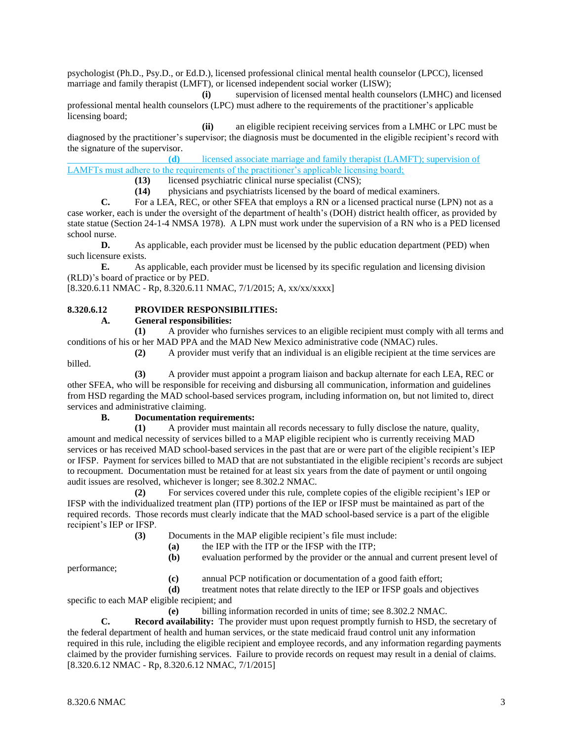psychologist (Ph.D., Psy.D., or Ed.D.), licensed professional clinical mental health counselor (LPCC), licensed marriage and family therapist (LMFT), or licensed independent social worker (LISW);

**(i)** supervision of licensed mental health counselors (LMHC) and licensed professional mental health counselors (LPC) must adhere to the requirements of the practitioner's applicable licensing board;

**(ii)** an eligible recipient receiving services from a LMHC or LPC must be diagnosed by the practitioner's supervisor; the diagnosis must be documented in the eligible recipient's record with the signature of the supervisor.

**(d)** licensed associate marriage and family therapist (LAMFT); supervision of LAMFTs must adhere to the requirements of the practitioner's applicable licensing board;

**(13)** licensed psychiatric clinical nurse specialist (CNS);

**(14)** physicians and psychiatrists licensed by the board of medical examiners.

**C.** For a LEA, REC, or other SFEA that employs a RN or a licensed practical nurse (LPN) not as a case worker, each is under the oversight of the department of health's (DOH) district health officer, as provided by state statue (Section 24-1-4 NMSA 1978). A LPN must work under the supervision of a RN who is a PED licensed school nurse.

**D.** As applicable, each provider must be licensed by the public education department (PED) when such licensure exists.

**E.** As applicable, each provider must be licensed by its specific regulation and licensing division (RLD)'s board of practice or by PED.

[8.320.6.11 NMAC - Rp, 8.320.6.11 NMAC, 7/1/2015; A, xx/xx/xxxx]

## **8.320.6.12 PROVIDER RESPONSIBILITIES:**

**A. General responsibilities:**

**(1)** A provider who furnishes services to an eligible recipient must comply with all terms and conditions of his or her MAD PPA and the MAD New Mexico administrative code (NMAC) rules.

**(2)** A provider must verify that an individual is an eligible recipient at the time services are billed.

**(3)** A provider must appoint a program liaison and backup alternate for each LEA, REC or other SFEA, who will be responsible for receiving and disbursing all communication, information and guidelines from HSD regarding the MAD school-based services program, including information on, but not limited to, direct services and administrative claiming.

### **B. Documentation requirements:**

**(1)** A provider must maintain all records necessary to fully disclose the nature, quality, amount and medical necessity of services billed to a MAP eligible recipient who is currently receiving MAD services or has received MAD school-based services in the past that are or were part of the eligible recipient's IEP or IFSP. Payment for services billed to MAD that are not substantiated in the eligible recipient's records are subject to recoupment. Documentation must be retained for at least six years from the date of payment or until ongoing audit issues are resolved, whichever is longer; see 8.302.2 NMAC.

**(2)** For services covered under this rule, complete copies of the eligible recipient's IEP or IFSP with the individualized treatment plan (ITP) portions of the IEP or IFSP must be maintained as part of the required records. Those records must clearly indicate that the MAD school-based service is a part of the eligible recipient's IEP or IFSP.

**(3)** Documents in the MAP eligible recipient's file must include:

**(a)** the IEP with the ITP or the IFSP with the ITP;

**(b)** evaluation performed by the provider or the annual and current present level of

performance;

**(c)** annual PCP notification or documentation of a good faith effort;

**(d)** treatment notes that relate directly to the IEP or IFSP goals and objectives

specific to each MAP eligible recipient; and

**(e)** billing information recorded in units of time; see 8.302.2 NMAC.

**C. Record availability:** The provider must upon request promptly furnish to HSD, the secretary of the federal department of health and human services, or the state medicaid fraud control unit any information required in this rule, including the eligible recipient and employee records, and any information regarding payments claimed by the provider furnishing services. Failure to provide records on request may result in a denial of claims. [8.320.6.12 NMAC - Rp, 8.320.6.12 NMAC, 7/1/2015]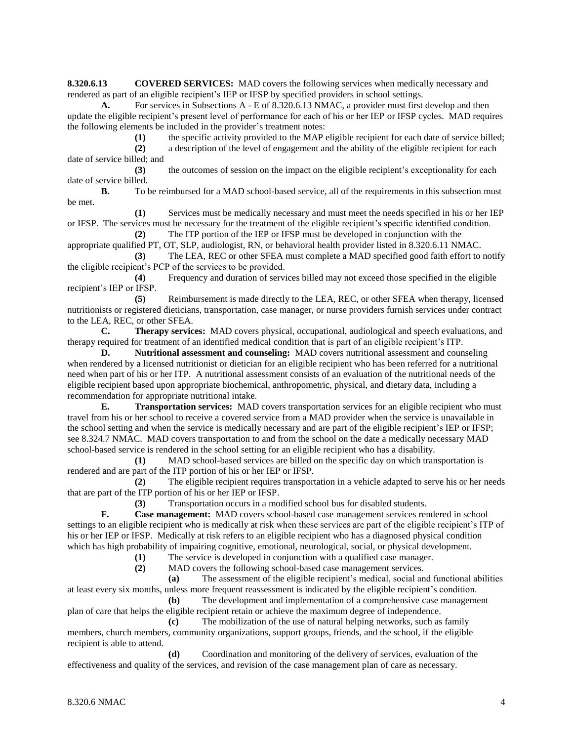**8.320.6.13 COVERED SERVICES:** MAD covers the following services when medically necessary and rendered as part of an eligible recipient's IEP or IFSP by specified providers in school settings.

**A.** For services in Subsections A - E of 8.320.6.13 NMAC, a provider must first develop and then update the eligible recipient's present level of performance for each of his or her IEP or IFSP cycles. MAD requires the following elements be included in the provider's treatment notes:

**(1)** the specific activity provided to the MAP eligible recipient for each date of service billed;

**(2)** a description of the level of engagement and the ability of the eligible recipient for each date of service billed; and

**(3)** the outcomes of session on the impact on the eligible recipient's exceptionality for each date of service billed.

**B.** To be reimbursed for a MAD school-based service, all of the requirements in this subsection must be met.

**(1)** Services must be medically necessary and must meet the needs specified in his or her IEP or IFSP. The services must be necessary for the treatment of the eligible recipient's specific identified condition.

**(2)** The ITP portion of the IEP or IFSP must be developed in conjunction with the appropriate qualified PT, OT, SLP, audiologist, RN, or behavioral health provider listed in 8.320.6.11 NMAC. **(3)** The LEA, REC or other SFEA must complete a MAD specified good faith effort to notify

the eligible recipient's PCP of the services to be provided.

**(4)** Frequency and duration of services billed may not exceed those specified in the eligible recipient's IEP or IFSP.

**(5)** Reimbursement is made directly to the LEA, REC, or other SFEA when therapy, licensed nutritionists or registered dieticians, transportation, case manager, or nurse providers furnish services under contract to the LEA, REC, or other SFEA.

**C. Therapy services:** MAD covers physical, occupational, audiological and speech evaluations, and therapy required for treatment of an identified medical condition that is part of an eligible recipient's ITP.

**D. Nutritional assessment and counseling:** MAD covers nutritional assessment and counseling when rendered by a licensed nutritionist or dietician for an eligible recipient who has been referred for a nutritional need when part of his or her ITP. A nutritional assessment consists of an evaluation of the nutritional needs of the eligible recipient based upon appropriate biochemical, anthropometric, physical, and dietary data, including a recommendation for appropriate nutritional intake.

**E. Transportation services:** MAD covers transportation services for an eligible recipient who must travel from his or her school to receive a covered service from a MAD provider when the service is unavailable in the school setting and when the service is medically necessary and are part of the eligible recipient's IEP or IFSP; see 8.324.7 NMAC. MAD covers transportation to and from the school on the date a medically necessary MAD school-based service is rendered in the school setting for an eligible recipient who has a disability.

**(1)** MAD school-based services are billed on the specific day on which transportation is rendered and are part of the ITP portion of his or her IEP or IFSP.

**(2)** The eligible recipient requires transportation in a vehicle adapted to serve his or her needs that are part of the ITP portion of his or her IEP or IFSP.

**(3)** Transportation occurs in a modified school bus for disabled students.

**F. Case management:** MAD covers school-based case management services rendered in school settings to an eligible recipient who is medically at risk when these services are part of the eligible recipient's ITP of his or her IEP or IFSP. Medically at risk refers to an eligible recipient who has a diagnosed physical condition which has high probability of impairing cognitive, emotional, neurological, social, or physical development.

**(1)** The service is developed in conjunction with a qualified case manager.

**(2)** MAD covers the following school-based case management services.

**(a)** The assessment of the eligible recipient's medical, social and functional abilities at least every six months, unless more frequent reassessment is indicated by the eligible recipient's condition.

**(b)** The development and implementation of a comprehensive case management plan of care that helps the eligible recipient retain or achieve the maximum degree of independence.

**(c)** The mobilization of the use of natural helping networks, such as family members, church members, community organizations, support groups, friends, and the school, if the eligible recipient is able to attend.

**(d)** Coordination and monitoring of the delivery of services, evaluation of the effectiveness and quality of the services, and revision of the case management plan of care as necessary.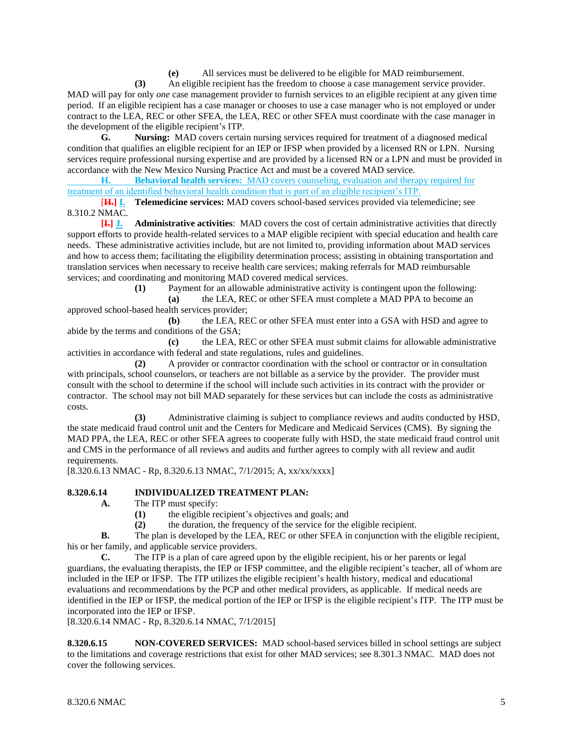**(e)** All services must be delivered to be eligible for MAD reimbursement.

**(3)** An eligible recipient has the freedom to choose a case management service provider. MAD will pay for only *one* case management provider to furnish services to an eligible recipient at any given time period. If an eligible recipient has a case manager or chooses to use a case manager who is not employed or under contract to the LEA, REC or other SFEA, the LEA, REC or other SFEA must coordinate with the case manager in the development of the eligible recipient's ITP.

**G. Nursing:** MAD covers certain nursing services required for treatment of a diagnosed medical condition that qualifies an eligible recipient for an IEP or IFSP when provided by a licensed RN or LPN. Nursing services require professional nursing expertise and are provided by a licensed RN or a LPN and must be provided in accordance with the New Mexico Nursing Practice Act and must be a covered MAD service.

**H. Behavioral health services:** MAD covers counseling, evaluation and therapy required for treatment of an identified behavioral health condition that is part of an eligible recipient's ITP.

[**H.] I. Telemedicine services:** MAD covers school-based services provided via telemedicine; see 8.310.2 NMAC.

**[I.] J. Administrative activities**: MAD covers the cost of certain administrative activities that directly support efforts to provide health-related services to a MAP eligible recipient with special education and health care needs. These administrative activities include, but are not limited to, providing information about MAD services and how to access them; facilitating the eligibility determination process; assisting in obtaining transportation and translation services when necessary to receive health care services; making referrals for MAD reimbursable services; and coordinating and monitoring MAD covered medical services.

**(1)** Payment for an allowable administrative activity is contingent upon the following:

**(a)** the LEA, REC or other SFEA must complete a MAD PPA to become an approved school-based health services provider;

**(b)** the LEA, REC or other SFEA must enter into a GSA with HSD and agree to abide by the terms and conditions of the GSA;

**(c)** the LEA, REC or other SFEA must submit claims for allowable administrative activities in accordance with federal and state regulations, rules and guidelines.

**(2)** A provider or contractor coordination with the school or contractor or in consultation with principals, school counselors, or teachers are not billable as a service by the provider. The provider must consult with the school to determine if the school will include such activities in its contract with the provider or contractor. The school may not bill MAD separately for these services but can include the costs as administrative costs.

**(3)** Administrative claiming is subject to compliance reviews and audits conducted by HSD, the state medicaid fraud control unit and the Centers for Medicare and Medicaid Services (CMS). By signing the MAD PPA, the LEA, REC or other SFEA agrees to cooperate fully with HSD, the state medicaid fraud control unit and CMS in the performance of all reviews and audits and further agrees to comply with all review and audit requirements.

[8.320.6.13 NMAC - Rp, 8.320.6.13 NMAC, 7/1/2015; A, xx/xx/xxxx]

### **8.320.6.14 INDIVIDUALIZED TREATMENT PLAN:**

- **A.** The ITP must specify:
	- **(1)** the eligible recipient's objectives and goals; and
	- **(2)** the duration, the frequency of the service for the eligible recipient.

**B.** The plan is developed by the LEA, REC or other SFEA in conjunction with the eligible recipient, his or her family, and applicable service providers.

**C.** The ITP is a plan of care agreed upon by the eligible recipient, his or her parents or legal guardians, the evaluating therapists, the IEP or IFSP committee, and the eligible recipient's teacher, all of whom are included in the IEP or IFSP. The ITP utilizes the eligible recipient's health history, medical and educational evaluations and recommendations by the PCP and other medical providers, as applicable. If medical needs are identified in the IEP or IFSP, the medical portion of the IEP or IFSP is the eligible recipient's ITP. The ITP must be incorporated into the IEP or IFSP.

[8.320.6.14 NMAC - Rp, 8.320.6.14 NMAC, 7/1/2015]

**8.320.6.15 NON-COVERED SERVICES:** MAD school-based services billed in school settings are subject to the limitations and coverage restrictions that exist for other MAD services; see 8.301.3 NMAC. MAD does not cover the following services.